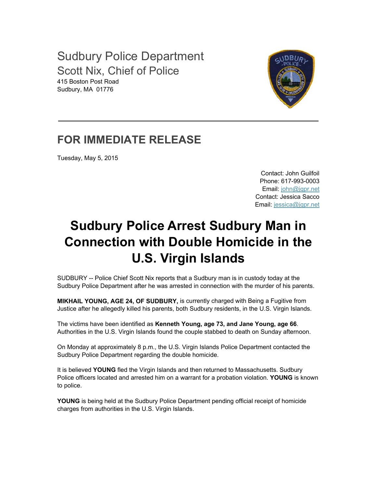Sudbury Police Department Scott Nix, Chief of Police 415 Boston Post Road Sudbury, MA 01776



## **FOR IMMEDIATE RELEASE**

Tuesday, May 5, 2015

Contact: John Guilfoil Phone: 617-993-0003 Email: john@jgpr.net Contact: Jessica Sacco Email: jessica@jgpr.net

## **Sudbury Police Arrest Sudbury Man in Connection with Double Homicide in the U.S. Virgin Islands**

SUDBURY -- Police Chief Scott Nix reports that a Sudbury man is in custody today at the Sudbury Police Department after he was arrested in connection with the murder of his parents.

**MIKHAIL YOUNG, AGE 24, OF SUDBURY,** is currently charged with Being a Fugitive from Justice after he allegedly killed his parents, both Sudbury residents, in the U.S. Virgin Islands.

The victims have been identified as **Kenneth Young, age 73, and Jane Young, age 66**. Authorities in the U.S. Virgin Islands found the couple stabbed to death on Sunday afternoon.

On Monday at approximately 8 p.m., the U.S. Virgin Islands Police Department contacted the Sudbury Police Department regarding the double homicide.

It is believed **YOUNG** fled the Virgin Islands and then returned to Massachusetts. Sudbury Police officers located and arrested him on a warrant for a probation violation. **YOUNG** is known to police.

**YOUNG** is being held at the Sudbury Police Department pending official receipt of homicide charges from authorities in the U.S. Virgin Islands.